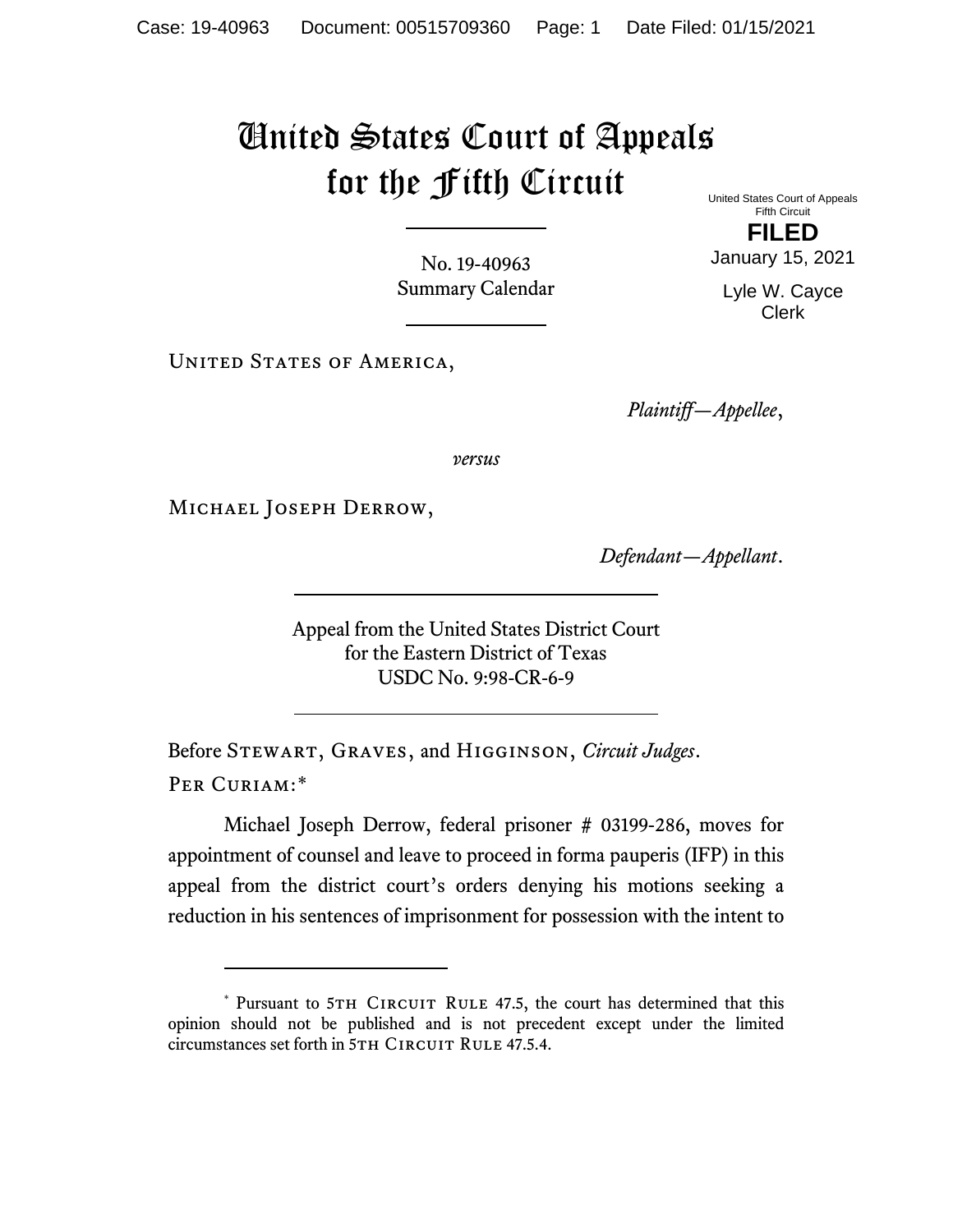## United States Court of Appeals for the Fifth Circuit

No. 19-40963 Summary Calendar

UNITED STATES OF AMERICA,

United States Court of Appeals Fifth Circuit

**FILED** January 15, 2021

Lyle W. Cayce Clerk

*Plaintiff—Appellee*,

*versus*

Michael Joseph Derrow,

*Defendant—Appellant*.

Appeal from the United States District Court for the Eastern District of Texas USDC No. 9:98-CR-6-9

Before Stewart, Graves, and Higginson, *Circuit Judges*. Per Curiam:[\\*](#page-0-0)

Michael Joseph Derrow, federal prisoner # 03199-286, moves for appointment of counsel and leave to proceed in forma pauperis (IFP) in this appeal from the district court's orders denying his motions seeking a reduction in his sentences of imprisonment for possession with the intent to

<span id="page-0-0"></span><sup>\*</sup> Pursuant to 5TH CIRCUIT RULE 47.5, the court has determined that this opinion should not be published and is not precedent except under the limited circumstances set forth in 5TH CIRCUIT RULE 47.5.4.